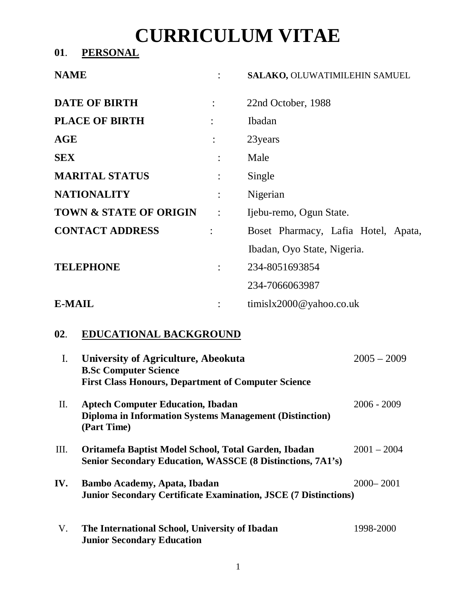# **CURRICULUM VITAE**

**01**. **PERSONAL**

| <b>NAME</b>            |                      | SALAKO, OLUWATIMILEHIN SAMUEL       |  |
|------------------------|----------------------|-------------------------------------|--|
| <b>DATE OF BIRTH</b>   | $\ddot{\cdot}$       | 22nd October, 1988                  |  |
| <b>PLACE OF BIRTH</b>  |                      | Ibadan                              |  |
| AGE                    | $\ddot{\cdot}$       | 23 years                            |  |
| <b>SEX</b>             |                      | Male                                |  |
| <b>MARITAL STATUS</b>  | $\ddot{\cdot}$       | Single                              |  |
| <b>NATIONALITY</b>     | $\ddot{\cdot}$       | Nigerian                            |  |
| TOWN & STATE OF ORIGIN | $\ddot{\cdot}$       | Ijebu-remo, Ogun State.             |  |
| <b>CONTACT ADDRESS</b> | ÷                    | Boset Pharmacy, Lafia Hotel, Apata, |  |
|                        |                      | Ibadan, Oyo State, Nigeria.         |  |
| <b>TELEPHONE</b>       | $\ddot{\phantom{a}}$ | 234-8051693854                      |  |
|                        |                      | 234-7066063987                      |  |
| <b>E-MAIL</b>          |                      | timislx2000@yahoo.co.uk             |  |

## **02**. **EDUCATIONAL BACKGROUND**

| $\mathbf{I}$ . | University of Agriculture, Abeokuta<br><b>B.Sc Computer Science</b><br><b>First Class Honours, Department of Computer Science</b> | $2005 - 2009$ |
|----------------|-----------------------------------------------------------------------------------------------------------------------------------|---------------|
| П.             | <b>Aptech Computer Education, Ibadan</b><br><b>Diploma in Information Systems Management (Distinction)</b><br>(Part Time)         | $2006 - 2009$ |
| III.           | Oritamefa Baptist Model School, Total Garden, Ibadan<br><b>Senior Secondary Education, WASSCE (8 Distinctions, 7A1's)</b>         | $2001 - 2004$ |
| IV.            | <b>Bambo Academy, Apata, Ibadan</b><br><b>Junior Secondary Certificate Examination, JSCE (7 Distinctions)</b>                     | $2000 - 2001$ |
| V.             | The International School, University of Ibadan<br><b>Junior Secondary Education</b>                                               | 1998-2000     |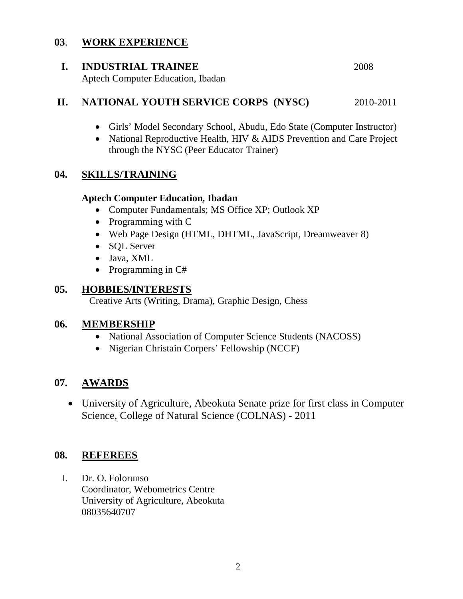## **03**. **WORK EXPERIENCE**

#### **I. INDUSTRIAL TRAINEE** 2008

Aptech Computer Education, Ibadan

## **II. NATIONAL YOUTH SERVICE CORPS** (NYSC) 2010-2011

- Girls' Model Secondary School, Abudu, Edo State (Computer Instructor)
- National Reproductive Health, HIV & AIDS Prevention and Care Project through the NYSC (Peer Educator Trainer)

## **04. SKILLS/TRAINING**

#### **Aptech Computer Education, Ibadan**

- Computer Fundamentals; MS Office XP; Outlook XP
- Programming with C
- Web Page Design (HTML, DHTML, JavaScript, Dreamweaver 8)
- SOL Server
- Java, XML
- Programming in C#

## **05. HOBBIES/INTERESTS**

Creative Arts (Writing, Drama), Graphic Design, Chess

#### **06. MEMBERSHIP**

- National Association of Computer Science Students (NACOSS)
- Nigerian Christain Corpers' Fellowship (NCCF)

## **07. AWARDS**

 University of Agriculture, Abeokuta Senate prize for first class in Computer Science, College of Natural Science (COLNAS) - 2011

## **08. REFEREES**

I. Dr. O. Folorunso Coordinator, Webometrics Centre University of Agriculture, Abeokuta 08035640707